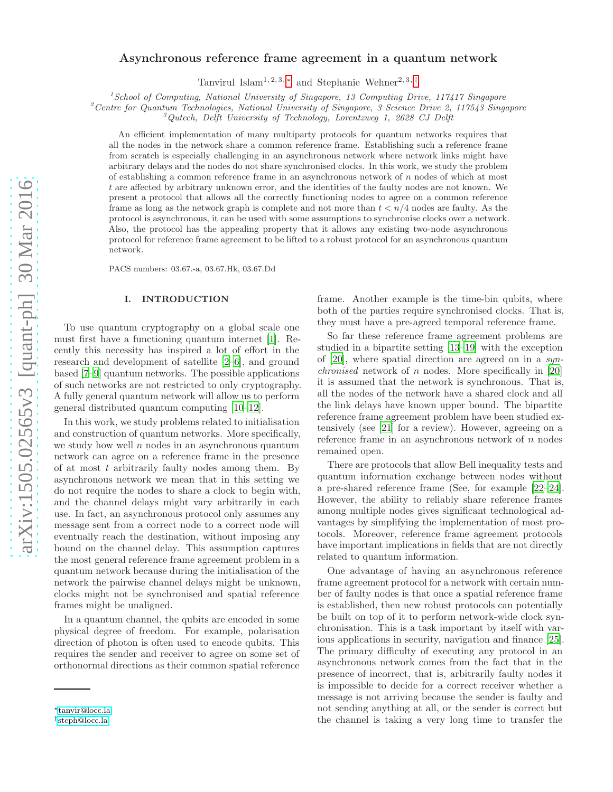# Asynchronous reference frame agreement in a quantum network

Tanvirul Islam<sup>1, 2, 3, \*</sup> and Stephanie Wehner<sup>2, 3, [†](#page-0-1)</sup>

<sup>1</sup> School of Computing, National University of Singapore, 13 Computing Drive, 117417 Singapore

<sup>2</sup>Centre for Quantum Technologies, National University of Singapore, 3 Science Drive 2, 117543 Singapore

<sup>3</sup>Qutech, Delft University of Technology, Lorentzweg 1, 2628 CJ Delft

An efficient implementation of many multiparty protocols for quantum networks requires that all the nodes in the network share a common reference frame. Establishing such a reference frame from scratch is especially challenging in an asynchronous network where network links might have arbitrary delays and the nodes do not share synchronised clocks. In this work, we study the problem of establishing a common reference frame in an asynchronous network of n nodes of which at most t are affected by arbitrary unknown error, and the identities of the faulty nodes are not known. We present a protocol that allows all the correctly functioning nodes to agree on a common reference frame as long as the network graph is complete and not more than  $t < n/4$  nodes are faulty. As the protocol is asynchronous, it can be used with some assumptions to synchronise clocks over a network. Also, the protocol has the appealing property that it allows any existing two-node asynchronous protocol for reference frame agreement to be lifted to a robust protocol for an asynchronous quantum network.

PACS numbers: 03.67.-a, 03.67.Hk, 03.67.Dd

## I. INTRODUCTION

To use quantum cryptography on a global scale one must first have a functioning quantum internet [\[1\]](#page-5-0). Recently this necessity has inspired a lot of effort in the research and development of satellite [\[2](#page-5-1)[–6](#page-6-0)], and ground based [\[7](#page-6-1)[–9\]](#page-6-2) quantum networks. The possible applications of such networks are not restricted to only cryptography. A fully general quantum network will allow us to perform general distributed quantum computing [\[10](#page-6-3)[–12](#page-6-4)].

In this work, we study problems related to initialisation and construction of quantum networks. More specifically, we study how well  $n$  nodes in an asynchronous quantum network can agree on a reference frame in the presence of at most  $t$  arbitrarily faulty nodes among them. By asynchronous network we mean that in this setting we do not require the nodes to share a clock to begin with, and the channel delays might vary arbitrarily in each use. In fact, an asynchronous protocol only assumes any message sent from a correct node to a correct node will eventually reach the destination, without imposing any bound on the channel delay. This assumption captures the most general reference frame agreement problem in a quantum network because during the initialisation of the network the pairwise channel delays might be unknown, clocks might not be synchronised and spatial reference frames might be unaligned.

In a quantum channel, the qubits are encoded in some physical degree of freedom. For example, polarisation direction of photon is often used to encode qubits. This requires the sender and receiver to agree on some set of orthonormal directions as their common spatial reference

frame. Another example is the time-bin qubits, where both of the parties require synchronised clocks. That is, they must have a pre-agreed temporal reference frame.

So far these reference frame agreement problems are studied in a bipartite setting [\[13](#page-6-5)[–19](#page-6-6)] with the exception of [\[20](#page-6-7)], where spatial direction are agreed on in a syn*chronised* network of *n* nodes. More specifically in [\[20](#page-6-7)] it is assumed that the network is synchronous. That is, all the nodes of the network have a shared clock and all the link delays have known upper bound. The bipartite reference frame agreement problem have been studied extensively (see [\[21](#page-6-8)] for a review). However, agreeing on a reference frame in an asynchronous network of  $n$  nodes remained open.

There are protocols that allow Bell inequality tests and quantum information exchange between nodes without a pre-shared reference frame (See, for example [\[22](#page-6-9)[–24\]](#page-6-10). However, the ability to reliably share reference frames among multiple nodes gives significant technological advantages by simplifying the implementation of most protocols. Moreover, reference frame agreement protocols have important implications in fields that are not directly related to quantum information.

One advantage of having an asynchronous reference frame agreement protocol for a network with certain number of faulty nodes is that once a spatial reference frame is established, then new robust protocols can potentially be built on top of it to perform network-wide clock synchronisation. This is a task important by itself with various applications in security, navigation and finance [\[25\]](#page-6-11). The primary difficulty of executing any protocol in an asynchronous network comes from the fact that in the presence of incorrect, that is, arbitrarily faulty nodes it is impossible to decide for a correct receiver whether a message is not arriving because the sender is faulty and not sending anything at all, or the sender is correct but the channel is taking a very long time to transfer the

<span id="page-0-0"></span><sup>∗</sup> [tanvir@locc.la](mailto:tanvir@locc.la)

<span id="page-0-1"></span><sup>†</sup> [steph@locc.la](mailto:steph@locc.la)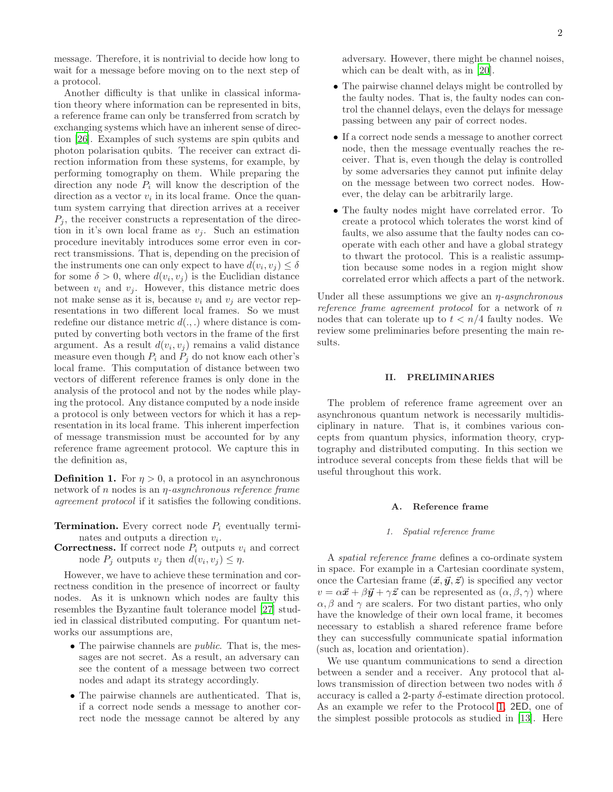message. Therefore, it is nontrivial to decide how long to wait for a message before moving on to the next step of a protocol.

Another difficulty is that unlike in classical information theory where information can be represented in bits, a reference frame can only be transferred from scratch by exchanging systems which have an inherent sense of direction [\[26](#page-6-12)]. Examples of such systems are spin qubits and photon polarisation qubits. The receiver can extract direction information from these systems, for example, by performing tomography on them. While preparing the direction any node  $P_i$  will know the description of the direction as a vector  $v_i$  in its local frame. Once the quantum system carrying that direction arrives at a receiver  $P_j$ , the receiver constructs a representation of the direction in it's own local frame as  $v_j$ . Such an estimation procedure inevitably introduces some error even in correct transmissions. That is, depending on the precision of the instruments one can only expect to have  $d(v_i, v_j) \leq \delta$ for some  $\delta > 0$ , where  $d(v_i, v_j)$  is the Euclidian distance between  $v_i$  and  $v_j$ . However, this distance metric does not make sense as it is, because  $v_i$  and  $v_j$  are vector representations in two different local frames. So we must redefine our distance metric  $d(.,.)$  where distance is computed by converting both vectors in the frame of the first argument. As a result  $d(v_i, v_j)$  remains a valid distance measure even though  $P_i$  and  $P_j$  do not know each other's local frame. This computation of distance between two vectors of different reference frames is only done in the analysis of the protocol and not by the nodes while playing the protocol. Any distance computed by a node inside a protocol is only between vectors for which it has a representation in its local frame. This inherent imperfection of message transmission must be accounted for by any reference frame agreement protocol. We capture this in the definition as,

**Definition 1.** For  $\eta > 0$ , a protocol in an asynchronous network of n nodes is an  $\eta$ -asynchronous reference frame agreement protocol if it satisfies the following conditions.

**Termination.** Every correct node  $P_i$  eventually terminates and outputs a direction  $v_i$ .

**Correctness.** If correct node  $P_i$  outputs  $v_i$  and correct node  $P_j$  outputs  $v_j$  then  $d(v_i, v_j) \leq \eta$ .

However, we have to achieve these termination and correctness condition in the presence of incorrect or faulty nodes. As it is unknown which nodes are faulty this resembles the Byzantine fault tolerance model [\[27](#page-6-13)] studied in classical distributed computing. For quantum networks our assumptions are,

- The pairwise channels are *public*. That is, the messages are not secret. As a result, an adversary can see the content of a message between two correct nodes and adapt its strategy accordingly.
- The pairwise channels are authenticated. That is, if a correct node sends a message to another correct node the message cannot be altered by any

adversary. However, there might be channel noises, which can be dealt with, as in [\[20\]](#page-6-7).

- The pairwise channel delays might be controlled by the faulty nodes. That is, the faulty nodes can control the channel delays, even the delays for message passing between any pair of correct nodes.
- If a correct node sends a message to another correct node, then the message eventually reaches the receiver. That is, even though the delay is controlled by some adversaries they cannot put infinite delay on the message between two correct nodes. However, the delay can be arbitrarily large.
- The faulty nodes might have correlated error. To create a protocol which tolerates the worst kind of faults, we also assume that the faulty nodes can cooperate with each other and have a global strategy to thwart the protocol. This is a realistic assumption because some nodes in a region might show correlated error which affects a part of the network.

Under all these assumptions we give an  $\eta$ -asynchronous reference frame agreement protocol for a network of n nodes that can tolerate up to  $t < n/4$  faulty nodes. We review some preliminaries before presenting the main results.

## II. PRELIMINARIES

The problem of reference frame agreement over an asynchronous quantum network is necessarily multidisciplinary in nature. That is, it combines various concepts from quantum physics, information theory, cryptography and distributed computing. In this section we introduce several concepts from these fields that will be useful throughout this work.

## A. Reference frame

## 1. Spatial reference frame

A spatial reference frame defines a co-ordinate system in space. For example in a Cartesian coordinate system, once the Cartesian frame  $(\vec{x}, \vec{y}, \vec{z})$  is specified any vector  $v = \alpha \vec{x} + \beta \vec{y} + \gamma \vec{z}$  can be represented as  $(\alpha, \beta, \gamma)$  where  $\alpha, \beta$  and  $\gamma$  are scalers. For two distant parties, who only have the knowledge of their own local frame, it becomes necessary to establish a shared reference frame before they can successfully communicate spatial information (such as, location and orientation).

We use quantum communications to send a direction between a sender and a receiver. Any protocol that allows transmission of direction between two nodes with  $\delta$ accuracy is called a 2-party  $\delta$ -estimate direction protocol. As an example we refer to the Protocol [1,](#page-2-0) 2ED, one of the simplest possible protocols as studied in [\[13\]](#page-6-5). Here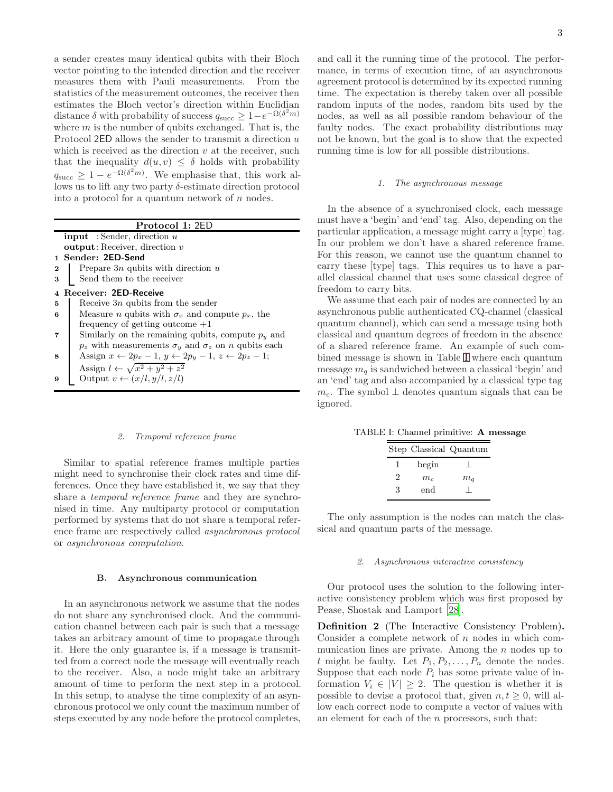a sender creates many identical qubits with their Bloch vector pointing to the intended direction and the receiver measures them with Pauli measurements. From the statistics of the measurement outcomes, the receiver then estimates the Bloch vector's direction within Euclidian distance  $\delta$  with probability of success  $q_{succ} \geq 1-e^{-\Omega(\delta^2 m)}$ where  $m$  is the number of qubits exchanged. That is, the Protocol 2ED allows the sender to transmit a direction u which is received as the direction  $v$  at the receiver, such that the inequality  $d(u, v) \leq \delta$  holds with probability  $q_{succ} \ge 1 - e^{-\Omega(\delta^2 m)}$ . We emphasise that, this work allows us to lift any two party  $\delta$ -estimate direction protocol into a protocol for a quantum network of  $n$  nodes.

# Protocol 1: 2ED

|                | <b>input</b> : Sender, direction $u$                                                 |
|----------------|--------------------------------------------------------------------------------------|
|                | <b>output</b> : Receiver, direction $v$                                              |
|                | 1 Sender: 2ED-Send                                                                   |
| $\mathbf 2$    | Prepare $3n$ qubits with direction u                                                 |
| 3              | Send them to the receiver                                                            |
| $\overline{4}$ | <b>Receiver: 2ED-Receive</b>                                                         |
| 5              | Receive $3n$ qubits from the sender                                                  |
| 6              | Measure <i>n</i> qubits with $\sigma_x$ and compute $p_x$ , the                      |
|                | frequency of getting outcome $+1$                                                    |
|                | Similarly on the remaining qubits, compute $p_y$ and                                 |
|                | $p_z$ with measurements $\sigma_y$ and $\sigma_z$ on n qubits each                   |
| 8              | Assign $x \leftarrow 2p_x - 1$ , $y \leftarrow 2p_y - 1$ , $z \leftarrow 2p_z - 1$ ; |
|                | Assign $l \leftarrow \sqrt{x^2 + y^2 + z^2}$                                         |
| 9              | Output $v \leftarrow (x/l, y/l, z/l)$                                                |
|                |                                                                                      |
|                |                                                                                      |

## <span id="page-2-0"></span>2. Temporal reference frame

Similar to spatial reference frames multiple parties might need to synchronise their clock rates and time differences. Once they have established it, we say that they share a *temporal reference frame* and they are synchronised in time. Any multiparty protocol or computation performed by systems that do not share a temporal reference frame are respectively called asynchronous protocol or asynchronous computation.

## B. Asynchronous communication

In an asynchronous network we assume that the nodes do not share any synchronised clock. And the communication channel between each pair is such that a message takes an arbitrary amount of time to propagate through it. Here the only guarantee is, if a message is transmitted from a correct node the message will eventually reach to the receiver. Also, a node might take an arbitrary amount of time to perform the next step in a protocol. In this setup, to analyse the time complexity of an asynchronous protocol we only count the maximum number of steps executed by any node before the protocol completes,

and call it the running time of the protocol. The performance, in terms of execution time, of an asynchronous agreement protocol is determined by its expected running time. The expectation is thereby taken over all possible random inputs of the nodes, random bits used by the nodes, as well as all possible random behaviour of the faulty nodes. The exact probability distributions may not be known, but the goal is to show that the expected running time is low for all possible distributions.

#### 1. The asynchronous message

In the absence of a synchronised clock, each message must have a 'begin' and 'end' tag. Also, depending on the particular application, a message might carry a [type] tag. In our problem we don't have a shared reference frame. For this reason, we cannot use the quantum channel to carry these [type] tags. This requires us to have a parallel classical channel that uses some classical degree of freedom to carry bits.

We assume that each pair of nodes are connected by an asynchronous public authenticated CQ-channel (classical quantum channel), which can send a message using both classical and quantum degrees of freedom in the absence of a shared reference frame. An example of such combined message is shown in Table [I](#page-2-1) where each quantum message  $m_q$  is sandwiched between a classical 'begin' and an 'end' tag and also accompanied by a classical type tag  $m_c$ . The symbol  $\perp$  denotes quantum signals that can be ignored.

|  |                        |  | TABLE I: Channel primitive: A message |
|--|------------------------|--|---------------------------------------|
|  | Step Classical Quantum |  |                                       |

<span id="page-2-1"></span>

|   | ∍ oreh ∧παρρισαι γασπιαπ |       |
|---|--------------------------|-------|
|   | begin                    |       |
| 2 | $m_c$                    | $m_q$ |
| 3 | end                      |       |
|   |                          |       |

The only assumption is the nodes can match the classical and quantum parts of the message.

#### 2. Asynchronous interactive consistency

Our protocol uses the solution to the following interactive consistency problem which was first proposed by Pease, Shostak and Lamport [\[28](#page-6-14)].

Definition 2 (The Interactive Consistency Problem). Consider a complete network of  $n$  nodes in which communication lines are private. Among the  $n$  nodes up to t might be faulty. Let  $P_1, P_2, \ldots, P_n$  denote the nodes. Suppose that each node  $P_i$  has some private value of information  $V_i \in |V| \geq 2$ . The question is whether it is possible to devise a protocol that, given  $n, t \geq 0$ , will allow each correct node to compute a vector of values with an element for each of the  $n$  processors, such that: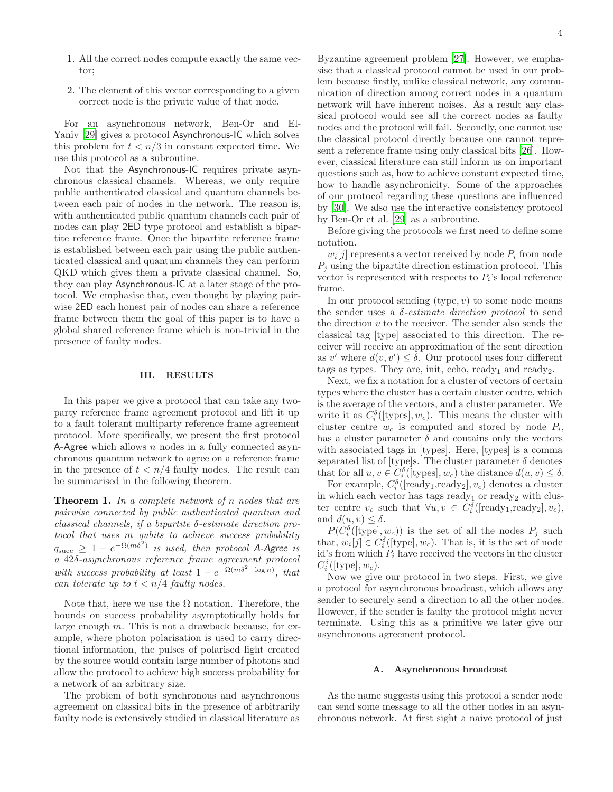- 1. All the correct nodes compute exactly the same vector;
- 2. The element of this vector corresponding to a given correct node is the private value of that node.

For an asynchronous network, Ben-Or and El-Yaniv [\[29\]](#page-6-15) gives a protocol Asynchronous-IC which solves this problem for  $t < n/3$  in constant expected time. We use this protocol as a subroutine.

Not that the Asynchronous-IC requires private asynchronous classical channels. Whereas, we only require public authenticated classical and quantum channels between each pair of nodes in the network. The reason is, with authenticated public quantum channels each pair of nodes can play 2ED type protocol and establish a bipartite reference frame. Once the bipartite reference frame is established between each pair using the public authenticated classical and quantum channels they can perform QKD which gives them a private classical channel. So, they can play Asynchronous-IC at a later stage of the protocol. We emphasise that, even thought by playing pairwise 2ED each honest pair of nodes can share a reference frame between them the goal of this paper is to have a global shared reference frame which is non-trivial in the presence of faulty nodes.

# III. RESULTS

In this paper we give a protocol that can take any twoparty reference frame agreement protocol and lift it up to a fault tolerant multiparty reference frame agreement protocol. More specifically, we present the first protocol A-Agree which allows  $n$  nodes in a fully connected asynchronous quantum network to agree on a reference frame in the presence of  $t < n/4$  faulty nodes. The result can be summarised in the following theorem.

**Theorem 1.** In a complete network of n nodes that are pairwise connected by public authenticated quantum and classical channels, if a bipartite δ-estimate direction protocol that uses m qubits to achieve success probability  $q_{succ} \geq 1 - e^{-\Omega(m\delta^2)}$  is used, then protocol A-Agree is a 42δ-asynchronous reference frame agreement protocol with success probability at least  $1 - e^{-\Omega(m\delta^2 - \log n)}$ , that can tolerate up to  $t < n/4$  faulty nodes.

Note that, here we use the  $\Omega$  notation. Therefore, the bounds on success probability asymptotically holds for large enough m. This is not a drawback because, for example, where photon polarisation is used to carry directional information, the pulses of polarised light created by the source would contain large number of photons and allow the protocol to achieve high success probability for a network of an arbitrary size.

The problem of both synchronous and asynchronous agreement on classical bits in the presence of arbitrarily faulty node is extensively studied in classical literature as

Byzantine agreement problem [\[27\]](#page-6-13). However, we emphasise that a classical protocol cannot be used in our problem because firstly, unlike classical network, any communication of direction among correct nodes in a quantum network will have inherent noises. As a result any classical protocol would see all the correct nodes as faulty nodes and the protocol will fail. Secondly, one cannot use the classical protocol directly because one cannot represent a reference frame using only classical bits [\[26](#page-6-12)]. However, classical literature can still inform us on important questions such as, how to achieve constant expected time, how to handle asynchronicity. Some of the approaches of our protocol regarding these questions are influenced by [\[30\]](#page-6-16). We also use the interactive consistency protocol by Ben-Or et al. [\[29\]](#page-6-15) as a subroutine.

Before giving the protocols we first need to define some notation.

 $w_i[j]$  represents a vector received by node  $P_i$  from node  $P_i$  using the bipartite direction estimation protocol. This vector is represented with respects to  $P_i$ 's local reference frame.

In our protocol sending (type,  $v$ ) to some node means the sender uses a  $\delta$ -estimate direction protocol to send the direction  $v$  to the receiver. The sender also sends the classical tag [type] associated to this direction. The receiver will receive an approximation of the sent direction as v' where  $d(v, v') \leq \delta$ . Our protocol uses four different tags as types. They are, init, echo, ready<sub>1</sub> and ready<sub>2</sub>.

Next, we fix a notation for a cluster of vectors of certain types where the cluster has a certain cluster centre, which is the average of the vectors, and a cluster parameter. We write it as  $C_i^{\delta}([\text{types}], w_c)$ . This means the cluster with cluster centre  $w_c$  is computed and stored by node  $P_i$ , has a cluster parameter  $\delta$  and contains only the vectors with associated tags in [types]. Here, [types] is a comma separated list of [type]s. The cluster parameter  $\delta$  denotes that for all  $u, v \in C_i^{\delta}$  ([types],  $w_c$ ) the distance  $d(u, v) \leq \delta$ .

For example,  $C_i^{\delta}$  ([ready<sub>1</sub>,ready<sub>2</sub>],  $v_c$ ) denotes a cluster in which each vector has tags  $\text{ready}_1$  or  $\text{ready}_2$  with cluster centre  $v_c$  such that  $\forall u, v \in C_i^{\delta}([\text{ready}_1, \text{ready}_2], v_c),$ and  $d(u, v) \leq \delta$ .

 $P(C_i^{\delta}([\text{type}], \omega_c))$  is the set of all the nodes  $P_j$  such that,  $w_i[j] \in C_i^{\delta}([\text{type}], w_c)$ . That is, it is the set of node id's from which  $P_i$  have received the vectors in the cluster  $C_i^{\delta}([\text{type}], w_c).$ 

Now we give our protocol in two steps. First, we give a protocol for asynchronous broadcast, which allows any sender to securely send a direction to all the other nodes. However, if the sender is faulty the protocol might never terminate. Using this as a primitive we later give our asynchronous agreement protocol.

#### A. Asynchronous broadcast

As the name suggests using this protocol a sender node can send some message to all the other nodes in an asynchronous network. At first sight a naive protocol of just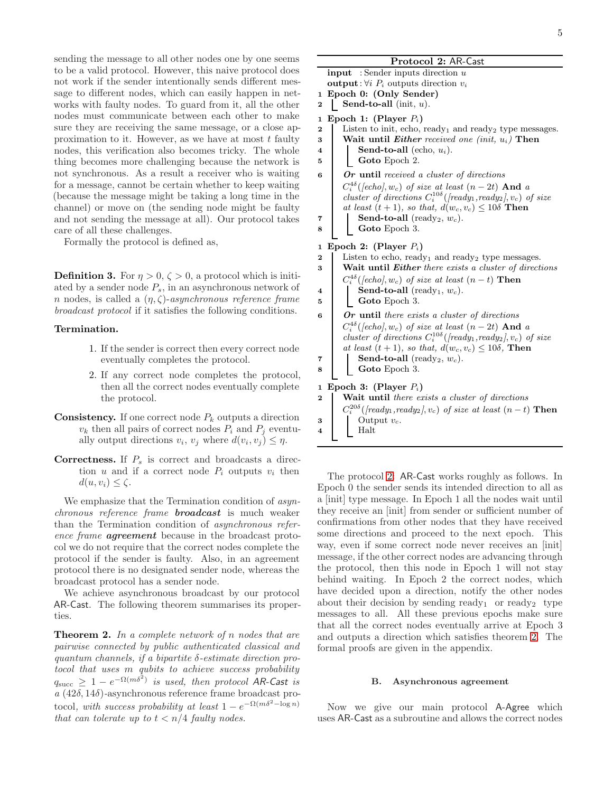sending the message to all other nodes one by one seems to be a valid protocol. However, this naive protocol does not work if the sender intentionally sends different message to different nodes, which can easily happen in networks with faulty nodes. To guard from it, all the other nodes must communicate between each other to make sure they are receiving the same message, or a close approximation to it. However, as we have at most  $t$  faulty nodes, this verification also becomes tricky. The whole thing becomes more challenging because the network is not synchronous. As a result a receiver who is waiting for a message, cannot be certain whether to keep waiting (because the message might be taking a long time in the channel) or move on (the sending node might be faulty and not sending the message at all). Our protocol takes care of all these challenges.

Formally the protocol is defined as,

<span id="page-4-2"></span>**Definition 3.** For  $\eta > 0$ ,  $\zeta > 0$ , a protocol which is initiated by a sender node  $P_s$ , in an asynchronous network of n nodes, is called a  $(\eta, \zeta)$ -asynchronous reference frame broadcast protocol if it satisfies the following conditions.

# Termination.

- 1. If the sender is correct then every correct node eventually completes the protocol.
- 2. If any correct node completes the protocol, then all the correct nodes eventually complete the protocol.
- **Consistency.** If one correct node  $P_k$  outputs a direction  $v_k$  then all pairs of correct nodes  $P_i$  and  $P_j$  eventually output directions  $v_i$ ,  $v_j$  where  $d(v_i, v_j) \leq \eta$ .
- **Correctness.** If  $P_s$  is correct and broadcasts a direction  $u$  and if a correct node  $P_i$  outputs  $v_i$  then  $d(u, v_i) \leq \zeta$ .

We emphasize that the Termination condition of *asyn*chronous reference frame broadcast is much weaker than the Termination condition of asynchronous reference frame **agreement** because in the broadcast protocol we do not require that the correct nodes complete the protocol if the sender is faulty. Also, in an agreement protocol there is no designated sender node, whereas the broadcast protocol has a sender node.

We achieve asynchronous broadcast by our protocol AR-Cast. The following theorem summarises its properties.

**Theorem 2.** In a complete network of n nodes that are pairwise connected by public authenticated classical and quantum channels, if a bipartite  $\delta$ -estimate direction protocol that uses m qubits to achieve success probability  $q_{succ} \geq 1 - e^{-\Omega(m\delta^2)}$  is used, then protocol AR-Cast is  $a$  (42 $\delta$ , 14 $\delta$ )-asynchronous reference frame broadcast protocol, with success probability at least  $1 - e^{-\Omega(m\delta^2 - \log n)}$ that can tolerate up to  $t < n/4$  faulty nodes.

# Protocol 2: AR-Cast

|                  | <b>input</b> : Sender inputs direction $u$                                                                                            |  |  |  |  |  |  |
|------------------|---------------------------------------------------------------------------------------------------------------------------------------|--|--|--|--|--|--|
|                  | <b>output</b> : $\forall i$ $P_i$ outputs direction $v_i$                                                                             |  |  |  |  |  |  |
|                  | 1 Epoch 0: (Only Sender)                                                                                                              |  |  |  |  |  |  |
| 2                | Send-to-all (init, $u$ ).                                                                                                             |  |  |  |  |  |  |
| 1                | Epoch 1: (Player $P_i$ )                                                                                                              |  |  |  |  |  |  |
| $\boldsymbol{2}$ | Listen to init, echo, ready <sub>1</sub> and ready <sub>2</sub> type messages.                                                        |  |  |  |  |  |  |
| 3                | Wait until <i>Either received one (init, <math>u_i</math>)</i> Then                                                                   |  |  |  |  |  |  |
| 4                | <b>Send-to-all</b> (echo, $u_i$ ).                                                                                                    |  |  |  |  |  |  |
| 5                | Goto Epoch 2.                                                                                                                         |  |  |  |  |  |  |
| 6                | <b>Or until</b> received a cluster of directions                                                                                      |  |  |  |  |  |  |
|                  | $C_i^{4\delta}$ (/echo), w <sub>c</sub> ) of size at least $(n-2t)$ <b>And</b> a                                                      |  |  |  |  |  |  |
|                  | cluster of directions $C_i^{10\delta}$ ([ready <sub>1</sub> , ready <sub>2</sub> ], $v_c$ ) of size                                   |  |  |  |  |  |  |
|                  | at least $(t+1)$ , so that, $d(w_c, v_c) \leq 10\delta$ Then                                                                          |  |  |  |  |  |  |
| 7                | <b>Send-to-all</b> (ready <sub>2</sub> , $w_c$ ).                                                                                     |  |  |  |  |  |  |
| 8                | Goto Epoch 3.                                                                                                                         |  |  |  |  |  |  |
| 1                | Epoch 2: (Player $P_i$ )                                                                                                              |  |  |  |  |  |  |
| $\boldsymbol{2}$ | Listen to echo, ready <sub>1</sub> and ready <sub>2</sub> type messages.                                                              |  |  |  |  |  |  |
| 3                | <b>Wait until Either</b> there exists a cluster of directions                                                                         |  |  |  |  |  |  |
|                  | $C_i^{4\delta}$ (/echo), w <sub>c</sub> ) of size at least $(n-t)$ <b>Then</b>                                                        |  |  |  |  |  |  |
| 4                | <b>Send-to-all</b> (ready <sub>1</sub> , $w_c$ ).                                                                                     |  |  |  |  |  |  |
| 5                | Goto Epoch 3.                                                                                                                         |  |  |  |  |  |  |
| 6                | <b>Or until</b> there exists a cluster of directions                                                                                  |  |  |  |  |  |  |
|                  | $C_i^{4\delta}$ (/echo), w <sub>c</sub> ) of size at least $(n-2t)$ <b>And</b> a                                                      |  |  |  |  |  |  |
|                  | cluster of directions $C_i^{10\delta}(\left[{\rm{ready1}}, {\rm{ready2}}\right], v_c)$ of size                                        |  |  |  |  |  |  |
|                  | at least $(t+1)$ , so that, $d(w_c, v_c) \leq 10\delta$ , Then                                                                        |  |  |  |  |  |  |
| 7                | <b>Send-to-all</b> (ready <sub>2</sub> , $w_c$ ).                                                                                     |  |  |  |  |  |  |
| 8                | Goto Epoch 3.                                                                                                                         |  |  |  |  |  |  |
|                  | Epoch 3: (Player $P_i$ )                                                                                                              |  |  |  |  |  |  |
| 1<br>2           | Wait until there exists a cluster of directions                                                                                       |  |  |  |  |  |  |
|                  |                                                                                                                                       |  |  |  |  |  |  |
|                  | $C_i^{20\delta}$ (fready <sub>1</sub> , ready <sub>2</sub> ), v <sub>c</sub> ) of size at least $(n-t)$ <b>Then</b><br>Output $v_c$ . |  |  |  |  |  |  |
| 3<br>4           | Halt                                                                                                                                  |  |  |  |  |  |  |
|                  |                                                                                                                                       |  |  |  |  |  |  |

<span id="page-4-1"></span><span id="page-4-0"></span>The protocol [2:](#page-4-0) AR-Cast works roughly as follows. In Epoch 0 the sender sends its intended direction to all as a [init] type message. In Epoch 1 all the nodes wait until they receive an [init] from sender or sufficient number of confirmations from other nodes that they have received some directions and proceed to the next epoch. This way, even if some correct node never receives an [init] message, if the other correct nodes are advancing through the protocol, then this node in Epoch 1 will not stay behind waiting. In Epoch 2 the correct nodes, which have decided upon a direction, notify the other nodes about their decision by sending ready<sub>1</sub> or ready<sub>2</sub> type messages to all. All these previous epochs make sure that all the correct nodes eventually arrive at Epoch 3 and outputs a direction which satisfies theorem [2.](#page-7-0) The formal proofs are given in the appendix.

#### B. Asynchronous agreement

Now we give our main protocol A-Agree which uses AR-Cast as a subroutine and allows the correct nodes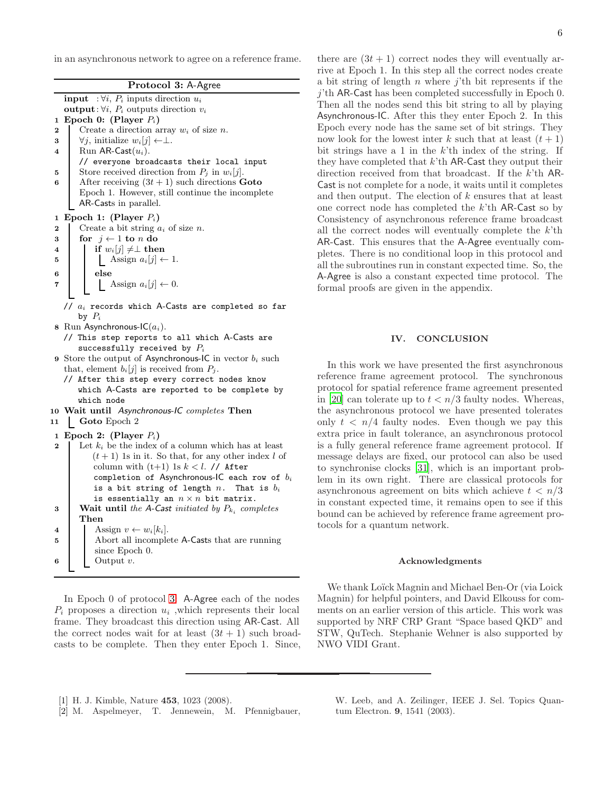in an asynchronous network to agree on a reference frame.

# <span id="page-5-4"></span>Protocol 3: A-Agree

**input** :  $\forall i, P_i$  inputs direction  $u_i$ output :  $\forall i$ ,  $P_i$  outputs direction  $v_i$ 1 Epoch 0: (Player  $P_i$ ) 2 Create a direction array  $w_i$  of size n. **3**  $\forall j$ , initialize  $w_i[j] \leftarrow \perp$ . 4 Run AR-Cast $(u_i)$ . // everyone broadcasts their local input 5 Store received direction from  $P_i$  in  $w_i[j]$ . 6 After receiving  $(3t + 1)$  such directions **Goto** Epoch 1. However, still continue the incomplete AR-Casts in parallel. 1 Epoch 1: (Player  $P_i$ ) 2 Create a bit string  $a_i$  of size n. 3 for  $j \leftarrow 1$  to n do 4 if  $w_i[j] \neq \perp$  then 5 Assign  $a_i[j] \leftarrow 1$ . 6 else 7 **Assign**  $a_i[j] \leftarrow 0$ . //  $a_i$  records which A-Casts are completed so far by  $P_i$ 8 Run Asynchronous-IC $(a_i)$ . // This step reports to all which A-Casts are successfully received by  $P_i$ 9 Store the output of Asynchronous-IC in vector  $b_i$  such that, element  $b_i[j]$  is received from  $P_j$ . // After this step every correct nodes know which A-Casts are reported to be complete by which node 10 Wait until Asynchronous-IC completes Then 11 Goto Epoch 2 1 Epoch 2: (Player  $P_i$ ) 2 Let  $k_i$  be the index of a column which has at least  $(t + 1)$  1s in it. So that, for any other index l of column with  $(t+1)$  1s  $k < l$ . // After completion of Asynchronous-IC each row of  $b_i$ is a bit string of length  $n$ . That is  $b_i$ is essentially an  $n \times n$  bit matrix. 3 Wait until the A-Cast initiated by  $P_{k_i}$  completes Then 4 Assign  $v \leftarrow w_i[k_i]$ . 5 Abort all incomplete A-Casts that are running since Epoch 0.  $\mathbf{6}$  | Output v.

<span id="page-5-8"></span><span id="page-5-7"></span><span id="page-5-6"></span><span id="page-5-5"></span><span id="page-5-3"></span><span id="page-5-2"></span>In Epoch 0 of protocol [3:](#page-5-2) A-Agree each of the nodes  $P_i$  proposes a direction  $u_i$ , which represents their local frame. They broadcast this direction using AR-Cast. All the correct nodes wait for at least  $(3t + 1)$  such broadcasts to be complete. Then they enter Epoch 1. Since, there are  $(3t + 1)$  correct nodes they will eventually arrive at Epoch 1. In this step all the correct nodes create a bit string of length  $n$  where  $i$ 'th bit represents if the j'th AR-Cast has been completed successfully in Epoch 0. Then all the nodes send this bit string to all by playing Asynchronous-IC. After this they enter Epoch 2. In this Epoch every node has the same set of bit strings. They now look for the lowest inter k such that at least  $(t + 1)$ bit strings have a 1 in the  $k$ <sup>th</sup> index of the string. If they have completed that  $k$ 'th AR-Cast they output their direction received from that broadcast. If the k'th AR-Cast is not complete for a node, it waits until it completes and then output. The election of  $k$  ensures that at least one correct node has completed the k'th AR-Cast so by Consistency of asynchronous reference frame broadcast all the correct nodes will eventually complete the  $k$ <sup>th</sup> AR-Cast. This ensures that the A-Agree eventually completes. There is no conditional loop in this protocol and all the subroutines run in constant expected time. So, the A-Agree is also a constant expected time protocol. The formal proofs are given in the appendix.

# IV. CONCLUSION

In this work we have presented the first asynchronous reference frame agreement protocol. The synchronous protocol for spatial reference frame agreement presented in [\[20](#page-6-7)] can tolerate up to  $t < n/3$  faulty nodes. Whereas, the asynchronous protocol we have presented tolerates only  $t < n/4$  faulty nodes. Even though we pay this extra price in fault tolerance, an asynchronous protocol is a fully general reference frame agreement protocol. If message delays are fixed, our protocol can also be used to synchronise clocks [\[31](#page-6-17)], which is an important problem in its own right. There are classical protocols for asynchronous agreement on bits which achieve  $t < n/3$ in constant expected time, it remains open to see if this bound can be achieved by reference frame agreement protocols for a quantum network.

#### Acknowledgments

We thank Loïck Magnin and Michael Ben-Or (via Loick Magnin) for helpful pointers, and David Elkouss for comments on an earlier version of this article. This work was supported by NRF CRP Grant "Space based QKD" and STW, QuTech. Stephanie Wehner is also supported by NWO VIDI Grant.

<span id="page-5-1"></span>[2] M. Aspelmeyer, T. Jennewein, M. Pfennigbauer,

W. Leeb, and A. Zeilinger, IEEE J. Sel. Topics Quantum Electron. 9, 1541 (2003).

<span id="page-5-0"></span><sup>[1]</sup> H. J. Kimble, Nature 453, 1023 (2008).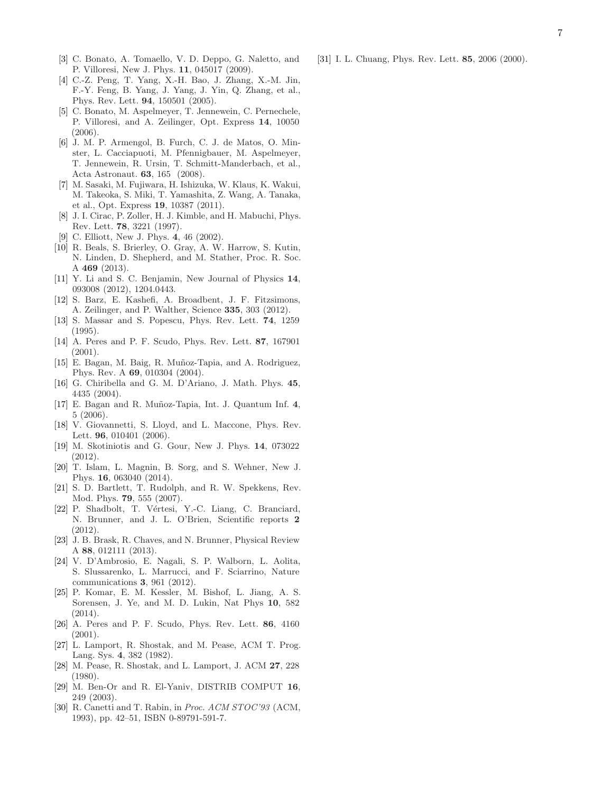- <span id="page-6-17"></span>[31] I. L. Chuang, Phys. Rev. Lett. 85, 2006 (2000).
- [3] C. Bonato, A. Tomaello, V. D. Deppo, G. Naletto, and P. Villoresi, New J. Phys. 11, 045017 (2009).
- [4] C.-Z. Peng, T. Yang, X.-H. Bao, J. Zhang, X.-M. Jin, F.-Y. Feng, B. Yang, J. Yang, J. Yin, Q. Zhang, et al., Phys. Rev. Lett. 94, 150501 (2005).
- [5] C. Bonato, M. Aspelmeyer, T. Jennewein, C. Pernechele, P. Villoresi, and A. Zeilinger, Opt. Express 14, 10050 (2006).
- <span id="page-6-0"></span>[6] J. M. P. Armengol, B. Furch, C. J. de Matos, O. Minster, L. Cacciapuoti, M. Pfennigbauer, M. Aspelmeyer, T. Jennewein, R. Ursin, T. Schmitt-Manderbach, et al., Acta Astronaut. 63, 165 (2008).
- <span id="page-6-1"></span>[7] M. Sasaki, M. Fujiwara, H. Ishizuka, W. Klaus, K. Wakui, M. Takeoka, S. Miki, T. Yamashita, Z. Wang, A. Tanaka, et al., Opt. Express 19, 10387 (2011).
- [8] J. I. Cirac, P. Zoller, H. J. Kimble, and H. Mabuchi, Phys. Rev. Lett. 78, 3221 (1997).
- <span id="page-6-2"></span>[9] C. Elliott, New J. Phys. 4, 46 (2002).
- <span id="page-6-3"></span>[10] R. Beals, S. Brierley, O. Gray, A. W. Harrow, S. Kutin, N. Linden, D. Shepherd, and M. Stather, Proc. R. Soc. A 469 (2013).
- [11] Y. Li and S. C. Benjamin, New Journal of Physics  $14$ , 093008 (2012), 1204.0443.
- <span id="page-6-4"></span>[12] S. Barz, E. Kashefi, A. Broadbent, J. F. Fitzsimons, A. Zeilinger, and P. Walther, Science 335, 303 (2012).
- <span id="page-6-5"></span>[13] S. Massar and S. Popescu, Phys. Rev. Lett. 74, 1259 (1995).
- [14] A. Peres and P. F. Scudo, Phys. Rev. Lett. 87, 167901 (2001).
- [15] E. Bagan, M. Baig, R. Muñoz-Tapia, and A. Rodriguez, Phys. Rev. A 69, 010304 (2004).
- [16] G. Chiribella and G. M. D'Ariano, J. Math. Phys. 45, 4435 (2004).
- [17] E. Bagan and R. Muñoz-Tapia, Int. J. Quantum Inf. 4, 5 (2006).
- [18] V. Giovannetti, S. Lloyd, and L. Maccone, Phys. Rev. Lett. **96**, 010401 (2006).
- <span id="page-6-6"></span>[19] M. Skotiniotis and G. Gour, New J. Phys. 14, 073022 (2012).
- <span id="page-6-7"></span>[20] T. Islam, L. Magnin, B. Sorg, and S. Wehner, New J. Phys. 16, 063040 (2014).
- <span id="page-6-8"></span>[21] S. D. Bartlett, T. Rudolph, and R. W. Spekkens, Rev. Mod. Phys. 79, 555 (2007).
- <span id="page-6-9"></span>[22] P. Shadbolt, T. Vértesi, Y.-C. Liang, C. Branciard, N. Brunner, and J. L. O'Brien, Scientific reports 2 (2012).
- [23] J. B. Brask, R. Chaves, and N. Brunner, Physical Review A 88, 012111 (2013).
- <span id="page-6-10"></span>[24] V. D'Ambrosio, E. Nagali, S. P. Walborn, L. Aolita, S. Slussarenko, L. Marrucci, and F. Sciarrino, Nature communications 3, 961 (2012).
- <span id="page-6-11"></span>[25] P. Komar, E. M. Kessler, M. Bishof, L. Jiang, A. S. Sorensen, J. Ye, and M. D. Lukin, Nat Phys 10, 582 (2014).
- <span id="page-6-12"></span>[26] A. Peres and P. F. Scudo, Phys. Rev. Lett. 86, 4160 (2001).
- <span id="page-6-13"></span>[27] L. Lamport, R. Shostak, and M. Pease, ACM T. Prog. Lang. Sys. 4, 382 (1982).
- <span id="page-6-14"></span>[28] M. Pease, R. Shostak, and L. Lamport, J. ACM 27, 228 (1980).
- <span id="page-6-15"></span>[29] M. Ben-Or and R. El-Yaniv, DISTRIB COMPUT 16, 249 (2003).
- <span id="page-6-16"></span>[30] R. Canetti and T. Rabin, in Proc. ACM STOC'93 (ACM, 1993), pp. 42–51, ISBN 0-89791-591-7.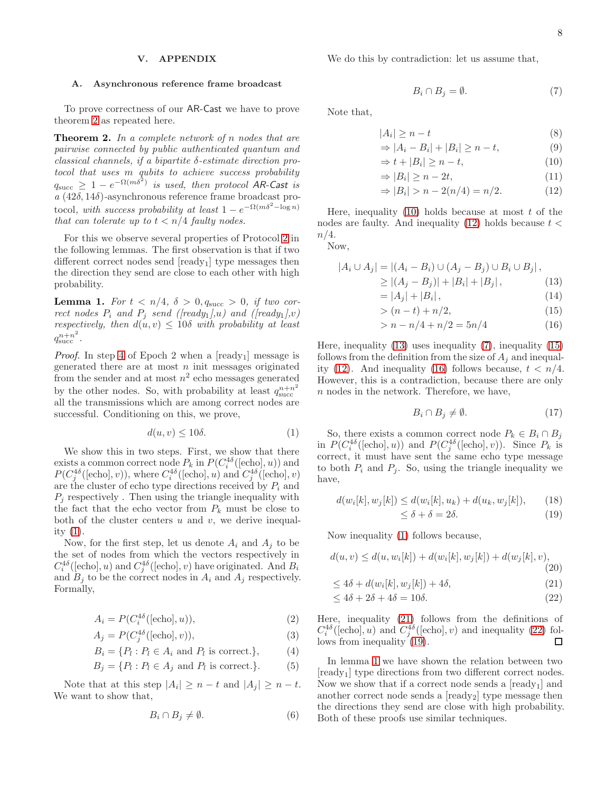# V. APPENDIX

## A. Asynchronous reference frame broadcast

To prove correctness of our AR-Cast we have to prove theorem [2](#page-7-0) as repeated here.

<span id="page-7-0"></span>Theorem 2. In a complete network of n nodes that are pairwise connected by public authenticated quantum and classical channels, if a bipartite δ-estimate direction protocol that uses m qubits to achieve success probability  $q_{succ} \geq 1 - e^{-\Omega(m\delta^2)}$  is used, then protocol AR-Cast is  $a$  (42 $\delta$ , 14 $\delta$ )-asynchronous reference frame broadcast protocol, with success probability at least  $1 - e^{-\Omega(m\delta^2 - \log n)}$ that can tolerate up to  $t < n/4$  faulty nodes.

For this we observe several properties of Protocol [2](#page-4-0) in the following lemmas. The first observation is that if two different correct nodes send  $[{\rm ready}_1]$  type messages then the direction they send are close to each other with high probability.

<span id="page-7-11"></span>**Lemma 1.** For  $t < n/4$ ,  $\delta > 0$ ,  $q_{succ} > 0$ , if two correct nodes  $P_i$  and  $P_j$  send ([ready<sub>1</sub>],*u*) and ([ready<sub>1</sub>],*v*) respectively, then  $d(u, v) \leq 10\delta$  with probability at least  $q_{\text{succ}}^{n+n^2}$ .

*Proof.* In step [4](#page-4-1) of Epoch 2 when a  $[ready_1]$  message is generated there are at most  $n$  init messages originated from the sender and at most  $n^2$  echo messages generated by the other nodes. So, with probability at least  $q_{\text{succ}}^{n+n^2}$ succ all the transmissions which are among correct nodes are successful. Conditioning on this, we prove,

$$
d(u, v) \le 10\delta. \tag{1}
$$

We show this in two steps. First, we show that there exists a common correct node  $P_k$  in  $P(C_i^{4\delta}([\text{echo}], u))$  and  $P(C_j^{4\delta}({\rm [echo]}, v))$ , where  $C_i^{4\delta}({\rm [echo]}, u)$  and  $C_j^{4\delta}({\rm [echo]}, v)$ are the cluster of echo type directions received by  $P_i$  and  $P_i$  respectively. Then using the triangle inequality with the fact that the echo vector from  $P_k$  must be close to both of the cluster centers  $u$  and  $v$ , we derive inequality  $(1)$ .

Now, for the first step, let us denote  $A_i$  and  $A_j$  to be the set of nodes from which the vectors respectively in  $C_i^{4\delta}$ ([echo], u) and  $C_j^{4\delta}$ ([echo], v) have originated. And  $B_i$ and  $B_j$  to be the correct nodes in  $A_i$  and  $A_j$  respectively. Formally,

 $A_i = P(C_i^{4\delta}([\text{echo}], u)),$  (2)

$$
A_j = P(C_j^{4\delta}([\text{echo}], v)),\tag{3}
$$

$$
B_i = \{ P_l : P_l \in A_i \text{ and } P_l \text{ is correct.} \},\tag{4}
$$

$$
B_j = \{ P_l : P_l \in A_j \text{ and } P_l \text{ is correct.} \}. \tag{5}
$$

Note that at this step  $|A_i| \geq n - t$  and  $|A_j| \geq n - t$ . We want to show that,

$$
B_i \cap B_j \neq \emptyset. \tag{6}
$$

We do this by contradiction: let us assume that,

<span id="page-7-5"></span><span id="page-7-3"></span><span id="page-7-2"></span>
$$
B_i \cap B_j = \emptyset. \tag{7}
$$

Note that,

$$
|A_i| \ge n - t \tag{8}
$$

$$
\Rightarrow |A_i - B_i| + |B_i| \ge n - t,\tag{9}
$$

$$
\Rightarrow t + |B_i| \ge n - t,\tag{10}
$$

$$
\Rightarrow |B_i| \ge n - 2t,\tag{11}
$$

$$
\Rightarrow |B_i| > n - 2(n/4) = n/2. \tag{12}
$$

Here, inequality  $(10)$  holds because at most t of the nodes are faulty. And inequality  $(12)$  holds because  $t <$  $n/4$ .  $\mathbf{w},$ 

$$
\operatorname{No}
$$

$$
|A_i \cup A_j| = |(A_i - B_i) \cup (A_j - B_j) \cup B_i \cup B_j|,
$$
  
\n
$$
\ge |(A_j - B_j)| + |B_i| + |B_j|,
$$
 (13)

<span id="page-7-4"></span>
$$
=|A_j|+|B_i|,\t\t(14)
$$

<span id="page-7-6"></span>
$$
> (n-t) + n/2,\tag{15}
$$

$$
> n - n/4 + n/2 = 5n/4 \tag{16}
$$

Here, inequality  $(13)$  uses inequality  $(7)$ , inequality  $(15)$ follows from the definition from the size of  $A_i$  and inequal-ity [\(12\)](#page-7-3). And inequality [\(16\)](#page-7-7) follows because,  $t < n/4$ . However, this is a contradiction, because there are only  $n$  nodes in the network. Therefore, we have,

<span id="page-7-7"></span>
$$
B_i \cap B_j \neq \emptyset. \tag{17}
$$

<span id="page-7-1"></span>So, there exists a common correct node  $P_k \in B_i \cap B_j$ in  $P(C_i^{4\delta}({\rm [echo}], u))$  and  $P(C_j^{4\delta}({\rm [echo]}, v))$ . Since  $P_k$  is correct, it must have sent the same echo type message to both  $P_i$  and  $P_j$ . So, using the triangle inequality we have,

$$
d(w_i[k], w_j[k]) \le d(w_i[k], u_k) + d(u_k, w_j[k]), \qquad (18)
$$

<span id="page-7-10"></span><span id="page-7-9"></span><span id="page-7-8"></span>
$$
\leq \delta + \delta = 2\delta. \tag{19}
$$

Now inequality [\(1\)](#page-7-1) follows because,

$$
d(u, v) \le d(u, w_i[k]) + d(w_i[k], w_j[k]) + d(w_j[k], v),
$$
\n(20)

$$
\leq 4\delta + d(w_i[k], w_j[k]) + 4\delta,\tag{21}
$$

$$
\leq 4\delta + 2\delta + 4\delta = 10\delta. \tag{22}
$$

Here, inequality [\(21\)](#page-7-8) follows from the definitions of  $C_i^{4\delta}$ ([echo], u) and  $C_j^{4\delta}$ ([echo], v) and inequality [\(22\)](#page-7-9) follows from inequality  $(19)$ .  $\Box$ 

In lemma [1](#page-7-11) we have shown the relation between two [ready1] type directions from two different correct nodes. Now we show that if a correct node sends a  $[{\rm read}v_1]$  and another correct node sends a  $[ready<sub>2</sub>]$  type message then the directions they send are close with high probability. Both of these proofs use similar techniques.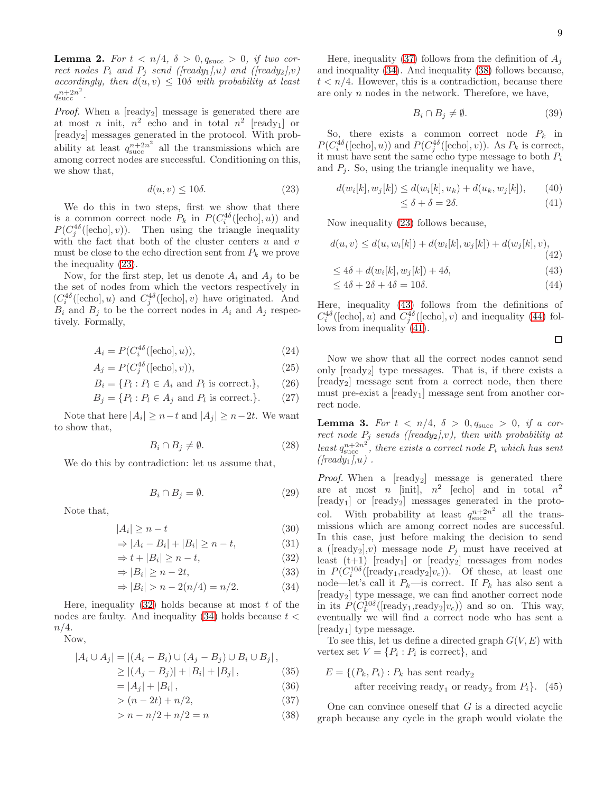<span id="page-8-9"></span>**Lemma 2.** For  $t < n/4$ ,  $\delta > 0$ ,  $q_{succ} > 0$ , if two correct nodes  $P_i$  and  $P_j$  send ([ready<sub>1</sub>],u) and ([ready<sub>2</sub>],v) accordingly, then  $d(u, v) \leq 10\delta$  with probability at least  $q_{\text{succ}}^{n+2n^2}$ .

Proof. When a [ready<sub>2</sub>] message is generated there are at most *n* init,  $n^2$  echo and in total  $n^2$  [ready<sub>1</sub>] or [ready2] messages generated in the protocol. With probability at least  $q_{\text{succ}}^{n+2n^2}$  all the transmissions which are among correct nodes are successful. Conditioning on this, we show that,

$$
d(u, v) \le 10\delta. \tag{23}
$$

We do this in two steps, first we show that there is a common correct node  $P_k$  in  $P(C_i^{4\delta}({\rm [echo]}, u))$  and  $P(C_j^{4\delta}({\rm [echo]}, v))$ . Then using the triangle inequality with the fact that both of the cluster centers  $u$  and  $v$ must be close to the echo direction sent from  $P_k$  we prove the inequality [\(23\)](#page-8-0).

Now, for the first step, let us denote  $A_i$  and  $A_j$  to be the set of nodes from which the vectors respectively in  $(C_i^{4\delta}([\text{echo}], u)$  and  $C_j^{4\delta}([\text{echo}], v)$  have originated. And  $B_i$  and  $B_j$  to be the correct nodes in  $A_i$  and  $A_j$  respectively. Formally,

$$
A_i = P(C_i^{4\delta}([\text{echo}], u)), \tag{24}
$$

$$
A_j = P(C_j^{4\delta}([\text{echo}], v)),\tag{25}
$$

$$
B_i = \{ P_l : P_l \in A_i \text{ and } P_l \text{ is correct.} \}, \qquad (26)
$$

$$
B_j = \{ P_l : P_l \in A_j \text{ and } P_l \text{ is correct.} \}. \tag{27}
$$

Note that here  $|A_i| \geq n-t$  and  $|A_j| \geq n-2t$ . We want to show that,

$$
B_i \cap B_j \neq \emptyset. \tag{28}
$$

We do this by contradiction: let us assume that,

$$
B_i \cap B_j = \emptyset. \tag{29}
$$

Note that,

$$
|A_i| \ge n - t \tag{30}
$$

$$
\Rightarrow |A_i - B_i| + |B_i| \ge n - t,\tag{31}
$$

$$
\Rightarrow t + |B_i| \ge n - t,\tag{32}
$$

$$
\Rightarrow |B_i| \ge n - 2t,\tag{33}
$$

$$
\Rightarrow |B_i| > n - 2(n/4) = n/2. \tag{34}
$$

Here, inequality  $(32)$  holds because at most t of the nodes are faulty. And inequality  $(34)$  holds because  $t <$  $n/4$ .

Now,

$$
|A_i \cup A_j| = |(A_i - B_i) \cup (A_j - B_j) \cup B_i \cup B_j|,
$$
  
\n
$$
\ge |(A_j - B_j)| + |B_i| + |B_j|,
$$
 (35)

$$
= |A_j| + |B_i|,
$$
 (36)

$$
> (n - 2t) + n/2,
$$
 (37)

$$
> n - n/2 + n/2 = n \tag{38}
$$

Here, inequality [\(37\)](#page-8-3) follows from the definition of  $A_i$ and inequality [\(34\)](#page-8-2). And inequality [\(38\)](#page-8-4) follows because,  $t \leq n/4$ . However, this is a contradiction, because there are only  $n$  nodes in the network. Therefore, we have,

$$
B_i \cap B_j \neq \emptyset. \tag{39}
$$

So, there exists a common correct node  $P_k$  in  $P(C_i^{4\delta}({\rm [echo]}, u))$  and  $P(C_j^{4\delta}({\rm [echo]}, v))$ . As  $P_k$  is correct, it must have sent the same echo type message to both  $P_i$ and  $P_i$ . So, using the triangle inequality we have,

<span id="page-8-0"></span>
$$
d(w_i[k], w_j[k]) \le d(w_i[k], u_k) + d(u_k, w_j[k]), \qquad (40)
$$
  

$$
\le \delta + \delta = 2\delta.
$$
 (41)

Now inequality [\(23\)](#page-8-0) follows because,

$$
d(u, v) \le d(u, w_i[k]) + d(w_i[k], w_j[k]) + d(w_j[k], v),
$$
\n(42)

$$
\leq 4\delta + d(w_i[k], w_j[k]) + 4\delta,\tag{43}
$$

$$
\leq 4\delta + 2\delta + 4\delta = 10\delta. \tag{44}
$$

Here, inequality [\(43\)](#page-8-5) follows from the definitions of  $C_i^{4\delta}$ ([echo], u) and  $C_j^{4\delta}$ ([echo], v) and inequality [\(44\)](#page-8-6) follows from inequality [\(41\)](#page-8-7).

<span id="page-8-7"></span><span id="page-8-6"></span><span id="page-8-5"></span> $\Box$ 

Now we show that all the correct nodes cannot send only [ready2] type messages. That is, if there exists a [ready2] message sent from a correct node, then there must pre-exist a  $[{\rm ready}_1]$  message sent from another correct node.

<span id="page-8-8"></span>**Lemma 3.** For  $t < n/4$ ,  $\delta > 0$ ,  $q_{succ} > 0$ , if a correct node  $P_j$  sends ([ready<sub>2</sub>],v), then with probability at least  $q_{\text{succ}}^{n+2n^2}$ , there exists a correct node  $P_i$  which has sent  $($ [ready<sub>1</sub>],u).

<span id="page-8-1"></span>Proof. When a [ready<sub>2</sub>] message is generated there are at most n [init],  $n^2$  [echo] and in total  $n^2$ [ready1] or [ready2] messages generated in the protocol. With probability at least  $q_{\text{succ}}^{n+2n^2}$  all the transmissions which are among correct nodes are successful. In this case, just before making the decision to send a ([ready<sub>2</sub>],*v*) message node  $P_j$  must have received at least  $(t+1)$  [ready<sub>1</sub>] or [ready<sub>2</sub>] messages from nodes in  $P(C_i^{10\delta}([{\rm ready}_1,{\rm ready}_2]v_c))$ . Of these, at least one node—let's call it  $P_k$ —is correct. If  $P_k$  has also sent a [ready2] type message, we can find another correct node in its  $P(C_k^{10\delta}([{\rm ready}_1,{\rm ready}_2]v_c))$  and so on. This way, eventually we will find a correct node who has sent a [ready1] type message.

<span id="page-8-2"></span>To see this, let us define a directed graph  $G(V, E)$  with vertex set  $V = \{P_i : P_i \text{ is correct}\},\$ 

$$
E = \{ (P_k, P_i) : P_k \text{ has sent ready}_2
$$
  
after receiving ready<sub>1</sub> or ready<sub>2</sub> from  $P_i$ . (45)

<span id="page-8-4"></span><span id="page-8-3"></span>One can convince oneself that G is a directed acyclic graph because any cycle in the graph would violate the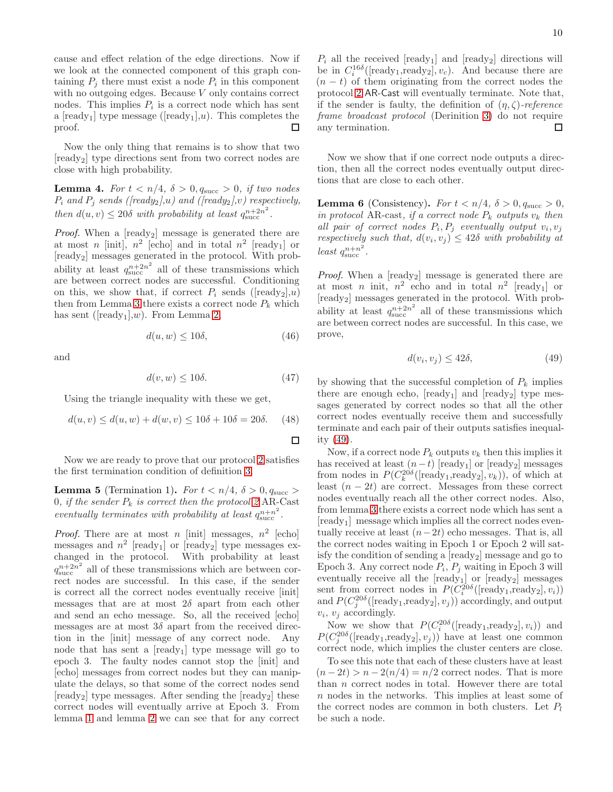cause and effect relation of the edge directions. Now if we look at the connected component of this graph containing  $P_j$  there must exist a node  $P_i$  in this component with no outgoing edges. Because V only contains correct nodes. This implies  $P_i$  is a correct node which has sent a  $[{\rm ready}_1]$  type message  $({\rm [ready}_1],u)$ . This completes the proof.  $\Box$ 

Now the only thing that remains is to show that two [ready2] type directions sent from two correct nodes are close with high probability.

<span id="page-9-1"></span>**Lemma 4.** For  $t < n/4$ ,  $\delta > 0$ ,  $q_{succ} > 0$ , if two nodes  $P_i$  and  $P_j$  sends ([ready<sub>2</sub>],u) and ([ready<sub>2</sub>],v) respectively, then  $d(u, v) \leq 20\delta$  with probability at least  $q_{\text{succ}}^{n+2n^2}$ .

*Proof.* When a  $[ready_2]$  message is generated there are at most *n* [init],  $n^2$  [echo] and in total  $n^2$  [ready<sub>1</sub>] or [ready2] messages generated in the protocol. With probability at least  $q_{\text{succ}}^{n+2n^2}$  all of these transmissions which are between correct nodes are successful. Conditioning on this, we show that, if correct  $P_i$  sends ([ready<sub>2</sub>],*u*) then from Lemma [3](#page-8-8) there exists a correct node  $P_k$  which has sent ( $[{\rm ready}_1], w$ ). From Lemma [2,](#page-8-9)

$$
d(u, w) \le 10\delta, \tag{46}
$$

and

$$
d(v, w) \le 10\delta. \tag{47}
$$

 $\Box$ 

Using the triangle inequality with these we get,

$$
d(u, v) \le d(u, w) + d(w, v) \le 10\delta + 10\delta = 20\delta. \tag{48}
$$

Now we are ready to prove that our protocol [2](#page-4-0) satisfies the first termination condition of definition [3.](#page-4-2)

<span id="page-9-3"></span>**Lemma 5** (Termination 1). For  $t < n/4$ ,  $\delta > 0$ ,  $q_{succ}$ 0, if the sender  $P_k$  is correct then the protocol [2](#page-4-0) AR-Cast eventually terminates with probability at least  $q_{\text{succ}}^{n+n^2}$ .

*Proof.* There are at most n [init] messages,  $n^2$  [echo] messages and  $n^2$  [ready<sub>1</sub>] or [ready<sub>2</sub>] type messages exchanged in the protocol. With probability at least  $q_{\text{succ}}^{n+2n^2}$  all of these transmissions which are between correct nodes are successful. In this case, if the sender is correct all the correct nodes eventually receive [init] messages that are at most  $2\delta$  apart from each other and send an echo message. So, all the received [echo] messages are at most  $3\delta$  apart from the received direction in the [init] message of any correct node. Any node that has sent a  $[{\rm ready}_1]$  type message will go to epoch 3. The faulty nodes cannot stop the [init] and [echo] messages from correct nodes but they can manipulate the delays, so that some of the correct nodes send  $[{\rm ready}_2]$  type messages. After sending the  $[{\rm ready}_2]$  these correct nodes will eventually arrive at Epoch 3. From lemma [1](#page-7-11) and lemma [2](#page-8-9) we can see that for any correct

 $P_i$  all the received  $[{\rm ready}_1]$  and  $[{\rm ready}_2]$  directions will be in  $C_i^{16\delta}$  ([ready<sub>1</sub>,ready<sub>2</sub>],  $v_c$ ). And because there are  $(n - t)$  of them originating from the correct nodes the protocol [2](#page-4-0) AR-Cast will eventually terminate. Note that, if the sender is faulty, the definition of  $(\eta, \zeta)$ -reference frame broadcast protocol (Derinition [3\)](#page-4-2) do not require any termination.  $\Box$ 

Now we show that if one correct node outputs a direction, then all the correct nodes eventually output directions that are close to each other.

<span id="page-9-2"></span>**Lemma 6** (Consistency). For  $t < n/4$ ,  $\delta > 0$ ,  $q_{succ} > 0$ , in protocol AR-cast, if a correct node  $P_k$  outputs  $v_k$  then all pair of correct nodes  $P_i, P_j$  eventually output  $v_i, v_j$ respectively such that,  $d(v_i, v_j) \leq 42\delta$  with probability at least  $q_{\text{succ}}^{n+n^2}$ .

Proof. When a [ready<sub>2</sub>] message is generated there are at most *n* init,  $n^2$  echo and in total  $n^2$  [ready<sub>1</sub>] or [ready2] messages generated in the protocol. With probability at least  $q_{\text{succ}}^{n+2n^2}$  all of these transmissions which are between correct nodes are successful. In this case, we prove,

<span id="page-9-0"></span>
$$
d(v_i, v_j) \le 42\delta,\tag{49}
$$

by showing that the successful completion of  $P_k$  implies there are enough echo,  $[{\rm ready}_1]$  and  $[{\rm ready}_2]$  type messages generated by correct nodes so that all the other correct nodes eventually receive them and successfully terminate and each pair of their outputs satisfies inequality [\(49\)](#page-9-0).

Now, if a correct node  $P_k$  outputs  $v_k$  then this implies it has received at least  $(n-t)$  [ready<sub>1</sub>] or [ready<sub>2</sub>] messages from nodes in  $P(C_k^{20\delta}([\text{ready}_1,\text{ready}_2], v_k)),$  of which at least  $(n - 2t)$  are correct. Messages from these correct nodes eventually reach all the other correct nodes. Also, from lemma [3](#page-8-8) there exists a correct node which has sent a [ready1] message which implies all the correct nodes eventually receive at least  $(n-2t)$  echo messages. That is, all the correct nodes waiting in Epoch 1 or Epoch 2 will satisfy the condition of sending a [ready2] message and go to Epoch 3. Any correct node  $P_i$ ,  $P_j$  waiting in Epoch 3 will eventually receive all the  $[ready_1]$  or  $[ready_2]$  messages sent from correct nodes in  $P(C_i^{20\delta}([\text{ready}_1,\text{ready}_2], v_i))$ and  $P(C_j^{20\delta}([\text{ready}_1,\text{ready}_2], v_j))$  accordingly, and output  $v_i, v_j$  accordingly.

Now we show that  $P(C_i^{20\delta}([\text{ready}_1,\text{ready}_2], v_i))$  and  $P(C_j^{20\delta}({\rm [ready_1, ready_2], } v_j))$  have at least one common correct node, which implies the cluster centers are close.

To see this note that each of these clusters have at least  $(n-2t) > n-2(n/4) = n/2$  correct nodes. That is more than n correct nodes in total. However there are total n nodes in the networks. This implies at least some of the correct nodes are common in both clusters. Let  $P_l$ be such a node.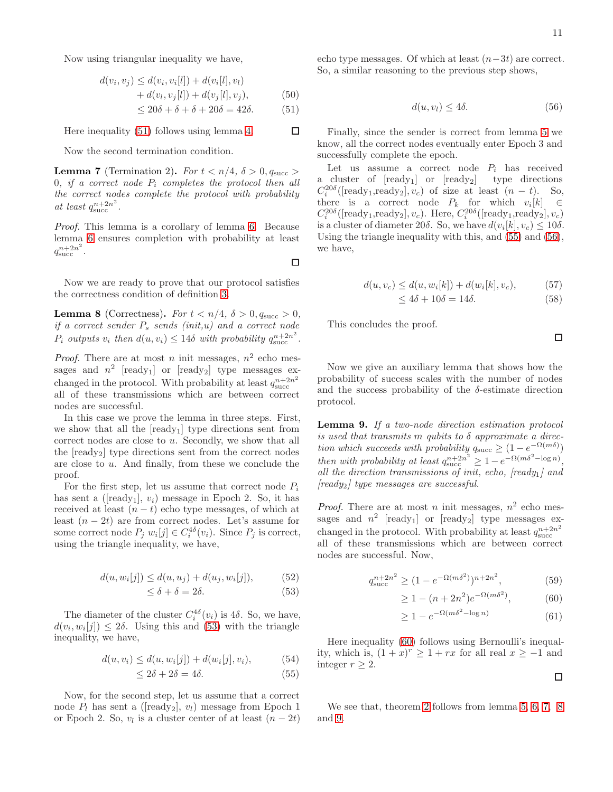Now using triangular inequality we have,

$$
d(v_i, v_j) \le d(v_i, v_i[l]) + d(v_i[l], v_l) + d(v_l, v_j[l]) + d(v_j[l], v_j),
$$
(50)

 $\leq 20\delta + \delta + \delta + 20\delta = 42\delta.$  (51)

<span id="page-10-0"></span> $\Box$ 

 $\Box$ 

Here inequality [\(51\)](#page-10-0) follows using lemma [4.](#page-9-1)

Now the second termination condition.

<span id="page-10-5"></span>**Lemma 7** (Termination 2). For  $t < n/4$ ,  $\delta > 0$ ,  $q_{succ}$ 0, if a correct node  $P_i$  completes the protocol then all the correct nodes complete the protocol with probability at least  $q_{\text{succ}}^{n+2n^2}$ .

Proof. This lemma is a corollary of lemma [6.](#page-9-2) Because lemma [6](#page-9-2) ensures completion with probability at least  $q_{\text{succ}}^{n+2n^2}$ .

Now we are ready to prove that our protocol satisfies the correctness condition of definition [3.](#page-4-2)

<span id="page-10-6"></span>**Lemma 8** (Correctness). For  $t < n/4$ ,  $\delta > 0$ ,  $q_{succ} > 0$ , if a correct sender  $P_s$  sends (init, u) and a correct node  $P_i$  outputs  $v_i$  then  $d(u, v_i) \leq 14\delta$  with probability  $q_{\text{succ}}^{n+2n^2}$ .

*Proof.* There are at most n init messages,  $n^2$  echo messages and  $n^2$  [ready<sub>1</sub>] or [ready<sub>2</sub>] type messages exchanged in the protocol. With probability at least  $q_{\text{succ}}^{n+2n^2}$ succ all of these transmissions which are between correct nodes are successful.

In this case we prove the lemma in three steps. First, we show that all the  $[{\rm ready}_1]$  type directions sent from correct nodes are close to u. Secondly, we show that all the  $[{\rm ready}_2]$  type directions sent from the correct nodes are close to u. And finally, from these we conclude the proof.

For the first step, let us assume that correct node  $P_i$ has sent a ([ready<sub>1</sub>],  $v_i$ ) message in Epoch 2. So, it has received at least  $(n - t)$  echo type messages, of which at least  $(n - 2t)$  are from correct nodes. Let's assume for some correct node  $P_j w_i[j] \in C_i^{4\delta}(v_i)$ . Since  $P_j$  is correct, using the triangle inequality, we have,

$$
d(u, w_i[j]) \le d(u, u_j) + d(u_j, w_i[j]), \tag{52}
$$

$$
\leq \delta + \delta = 2\delta. \tag{53}
$$

The diameter of the cluster  $C_i^{4\delta}(v_i)$  is 4 $\delta$ . So, we have,  $d(v_i, w_i[j]) \leq 2\delta$ . Using this and [\(53\)](#page-10-1) with the triangle inequality, we have,

$$
d(u, v_i) \le d(u, w_i[j]) + d(w_i[j], v_i), \tag{54}
$$

$$
\leq 2\delta + 2\delta = 4\delta. \tag{55}
$$

Now, for the second step, let us assume that a correct node  $P_l$  has sent a ([ready<sub>2</sub>],  $v_l$ ) message from Epoch 1 or Epoch 2. So,  $v_l$  is a cluster center of at least  $(n-2t)$  echo type messages. Of which at least  $(n-3t)$  are correct. So, a similar reasoning to the previous step shows,

<span id="page-10-3"></span>
$$
d(u, v_l) \le 4\delta. \tag{56}
$$

Finally, since the sender is correct from lemma [5](#page-9-3) we know, all the correct nodes eventually enter Epoch 3 and successfully complete the epoch.

Let us assume a correct node  $P_i$  has received a cluster of  $[{\rm ready}_1]$  or  $[{\rm ready}_2]$  type directions  $C_i^{20\delta}$ ([ready<sub>1</sub>,ready<sub>2</sub>],  $v_c$ ) of size at least  $(n - t)$ . So, there is a correct node  $P_k$  for which  $v_i[k] \in$  $C_i^{20\delta}$ ([ready<sub>1</sub>,ready<sub>2</sub>],  $v_c$ ). Here,  $C_i^{20\delta}$ ([ready<sub>1</sub>,ready<sub>2</sub>],  $v_c$ ) is a cluster of diameter 20 $\delta$ . So, we have  $d(v_i[k], v_c) \leq 10\delta$ . Using the triangle inequality with this, and [\(55\)](#page-10-2) and [\(56\)](#page-10-3), we have,

$$
d(u, v_c) \le d(u, w_i[k]) + d(w_i[k], v_c), \tag{57}
$$

$$
\leq 4\delta + 10\delta = 14\delta. \tag{58}
$$

This concludes the proof.

 $\Box$ 

Now we give an auxiliary lemma that shows how the probability of success scales with the number of nodes and the success probability of the  $\delta$ -estimate direction protocol.

<span id="page-10-7"></span>Lemma 9. If a two-node direction estimation protocol is used that transmits m qubits to  $\delta$  approximate a direction which succeeds with probability  $q_{succ} \geq (1 - e^{-\Omega(m\delta)})$ then with probability at least  $q_{succ}^{n+2n^2} \geq 1 - e^{-\Omega(m\delta^2 - \log n)}$ , all the direction transmissions of init, echo,  $[ready<sub>1</sub>]$  and  $[ready_2]$  type messages are successful.

*Proof.* There are at most *n* init messages,  $n^2$  echo messages and  $n^2$  [ready<sub>1</sub>] or [ready<sub>2</sub>] type messages exchanged in the protocol. With probability at least  $q_{\text{succ}}^{n+2n^2}$ succ all of these transmissions which are between correct nodes are successful. Now,

$$
q_{\text{succ}}^{n+2n^2} \ge (1 - e^{-\Omega(m\delta^2)})^{n+2n^2},\tag{59}
$$

$$
\geq 1 - (n + 2n^2)e^{-\Omega(m\delta^2)},
$$
 (60)

$$
\geq 1 - e^{-\Omega(m\delta^2 - \log n)}\tag{61}
$$

<span id="page-10-2"></span><span id="page-10-1"></span>Here inequality [\(60\)](#page-10-4) follows using Bernoulli's inequality, which is,  $(1+x)^r \ge 1+rx$  for all real  $x \ge -1$  and integer  $r \geq 2$ .

<span id="page-10-4"></span> $\Box$ 

We see that, theorem [2](#page-7-0) follows from lemma [5,](#page-9-3) [6,](#page-9-2) [7,](#page-10-5) [8](#page-10-6) and [9.](#page-10-7)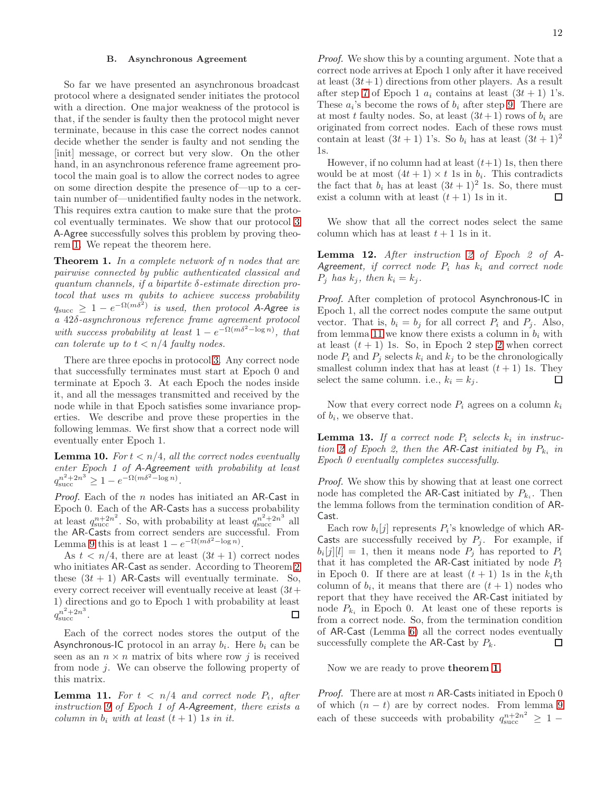## B. Asynchronous Agreement

So far we have presented an asynchronous broadcast protocol where a designated sender initiates the protocol with a direction. One major weakness of the protocol is that, if the sender is faulty then the protocol might never terminate, because in this case the correct nodes cannot decide whether the sender is faulty and not sending the [init] message, or correct but very slow. On the other hand, in an asynchronous reference frame agreement protocol the main goal is to allow the correct nodes to agree on some direction despite the presence of—up to a certain number of—unidentified faulty nodes in the network. This requires extra caution to make sure that the protocol eventually terminates. We show that our protocol [3](#page-5-2) A-Agree successfully solves this problem by proving theorem [1.](#page-11-0) We repeat the theorem here.

<span id="page-11-0"></span>**Theorem 1.** In a complete network of n nodes that are pairwise connected by public authenticated classical and quantum channels, if a bipartite  $\delta$ -estimate direction protocol that uses m qubits to achieve success probability  $q_{succ} \geq 1 - e^{-\Omega(m\delta^2)}$  is used, then protocol A-Agree is a 42δ-asynchronous reference frame agreement protocol with success probability at least  $1 - e^{-\Omega(m\delta^2 - \log n)}$ , that can tolerate up to  $t < n/4$  faulty nodes.

There are three epochs in protocol [3.](#page-5-2) Any correct node that successfully terminates must start at Epoch 0 and terminate at Epoch 3. At each Epoch the nodes inside it, and all the messages transmitted and received by the node while in that Epoch satisfies some invariance properties. We describe and prove these properties in the following lemmas. We first show that a correct node will eventually enter Epoch 1.

<span id="page-11-2"></span>**Lemma 10.** For  $t < n/4$ , all the correct nodes eventually enter Epoch 1 of A-Agreement with probability at least  $q_{\text{succ}}^{n^2+2n^3} \ge 1 - e^{-\Omega(m\delta^2 - \log n)}.$ 

Proof. Each of the *n* nodes has initiated an AR-Cast in Epoch 0. Each of the AR-Casts has a success probability at least  $q_{\text{succ}}^{n+2n^2}$ . So, with probability at least  $q_{\text{succ}}^{n^2+2n^3}$  all the AR-Casts from correct senders are successful. From Lemma [9](#page-10-7) this is at least  $1 - e^{-\Omega(m\delta^2 - \log n)}$ .

As  $t < n/4$ , there are at least  $(3t + 1)$  correct nodes who initiates AR-Cast as sender. According to Theorem [2](#page-7-0) these  $(3t + 1)$  AR-Casts will eventually terminate. So, every correct receiver will eventually receive at least  $(3t+$ 1) directions and go to Epoch 1 with probability at least  $q_{\text{succ}}^{n^2+2n^3}$ . □

Each of the correct nodes stores the output of the Asynchronous-IC protocol in an array  $b_i$ . Here  $b_i$  can be seen as an  $n \times n$  matrix of bits where row j is received from node j. We can observe the following property of this matrix.

<span id="page-11-1"></span>**Lemma 11.** For  $t < n/4$  and correct node  $P_i$ , after instruction [9](#page-5-3) of Epoch 1 of A-Agreement, there exists a column in  $b_i$  with at least  $(t + 1)$  1s in it.

Proof. We show this by a counting argument. Note that a correct node arrives at Epoch 1 only after it have received at least  $(3t+1)$  directions from other players. As a result after step [7](#page-5-4) of Epoch 1  $a_i$  contains at least  $(3t + 1)$  1's. These  $a_i$ 's become the rows of  $b_i$  after step [9.](#page-5-3) There are at most t faulty nodes. So, at least  $(3t+1)$  rows of  $b_i$  are originated from correct nodes. Each of these rows must contain at least  $(3t + 1)$  1's. So  $b_i$  has at least  $(3t + 1)^2$ 1s.

However, if no column had at least  $(t+1)$  1s, then there would be at most  $(4t + 1) \times t$  1s in  $b_i$ . This contradicts the fact that  $b_i$  has at least  $(3t + 1)^2$  1s. So, there must exist a column with at least  $(t + 1)$  1s in it.  $\Box$ 

We show that all the correct nodes select the same column which has at least  $t + 1$  1s in it.

Lemma 12. After instruction [2](#page-5-5) of Epoch 2 of A-Agreement, if correct node  $P_i$  has  $k_i$  and correct node  $P_j$  has  $k_j$ , then  $k_i = k_j$ .

Proof. After completion of protocol Asynchronous-IC in Epoch 1, all the correct nodes compute the same output vector. That is,  $b_i = b_j$  for all correct  $P_i$  and  $P_j$ . Also, from lemma [11](#page-11-1) we know there exists a column in  $b_i$  with at least  $(t + 1)$  1s. So, in Epoch [2](#page-5-5) step 2 when correct node  $P_i$  and  $P_j$  selects  $k_i$  and  $k_j$  to be the chronologically smallest column index that has at least  $(t + 1)$  1s. They select the same column. i.e.,  $k_i = k_j$ .  $\Box$ 

Now that every correct node  $P_i$  agrees on a column  $k_i$ of  $b_i$ , we observe that.

<span id="page-11-3"></span>**Lemma 13.** If a correct node  $P_i$  selects  $k_i$  in instruc-tion [2](#page-5-5) of Epoch 2, then the AR-Cast initiated by  $P_{k_i}$  in Epoch 0 eventually completes successfully.

Proof. We show this by showing that at least one correct node has completed the AR-Cast initiated by  $P_{k_i}$ . Then the lemma follows from the termination condition of AR-Cast.

Each row  $b_i[j]$  represents  $P_i$ 's knowledge of which AR-Casts are successfully received by  $P_i$ . For example, if  $b_i[j][l] = 1$ , then it means node  $P_j$  has reported to  $P_i$ that it has completed the AR-Cast initiated by node  $P_l$ in Epoch 0. If there are at least  $(t + 1)$  1s in the  $k_i$ th column of  $b_i$ , it means that there are  $(t + 1)$  nodes who report that they have received the AR-Cast initiated by node  $P_{k_i}$  in Epoch 0. At least one of these reports is from a correct node. So, from the termination condition of AR-Cast (Lemma [6\)](#page-9-2) all the correct nodes eventually successfully complete the AR-Cast by  $P_k$ .  $\Box$ 

Now we are ready to prove theorem [1.](#page-11-0)

*Proof.* There are at most n AR-Casts initiated in Epoch 0 of which  $(n - t)$  are by correct nodes. From lemma [9](#page-10-7) each of these succeeds with probability  $q_{\text{succ}}^{n+2n^2} \geq 1$  –